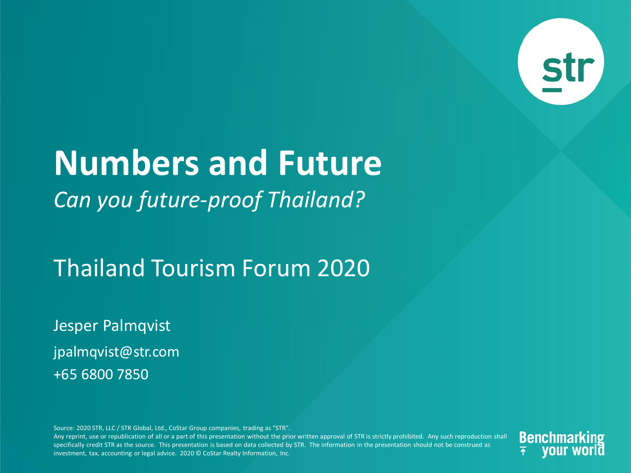

# **Numbers and Future** *Can you future-proof Thailand?*

### Thailand Tourism Forum 2020

Jesper Palmqvist jpalmqvist@str.com +65 6800 7850

Source: 2020 STR, LLC / STR Global, Ltd., CoStar Group companies, trading as "STR".

Any reprint, use or republication of all or a part of this presentation without the prior written approval of STR is strictly prohibited. Any such reproduction shall specifically credit STR as the source. This presentation is based on data collected by STR. The information in the presentation should not be construed as investment, tax, accounting or legal advice. 2020 © CoStar Realty Information, Inc.

**Benchmarki**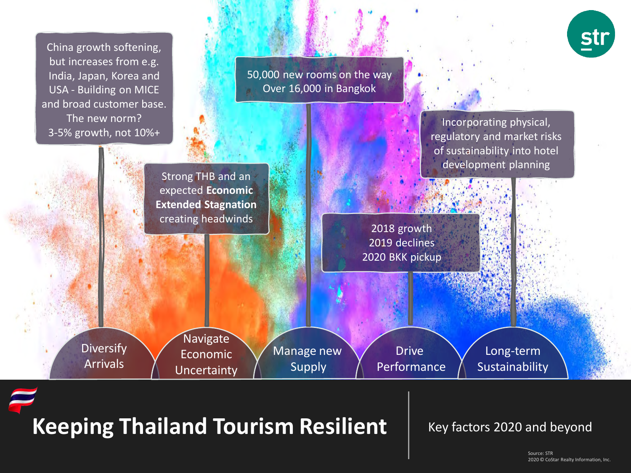

# Keeping Thailand Tourism Resilient | Key factors 2020 and beyond

2020 © CoStar Realty Information, Inc. 2020 © CoStar Realty Information, Inc.Source: STR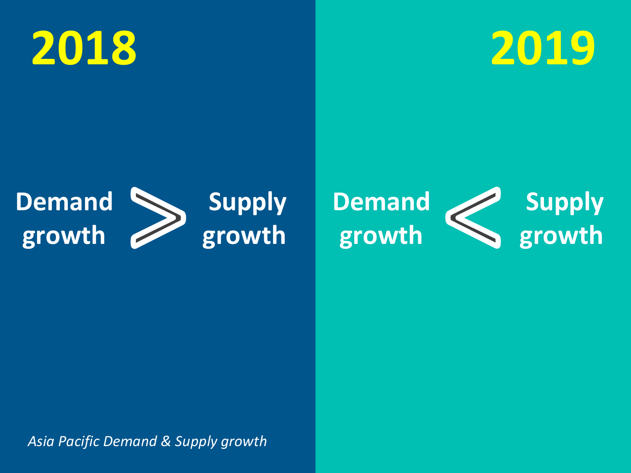



#### **Demand growth Supply growth**



*Asia Pacific Demand & Supply growth*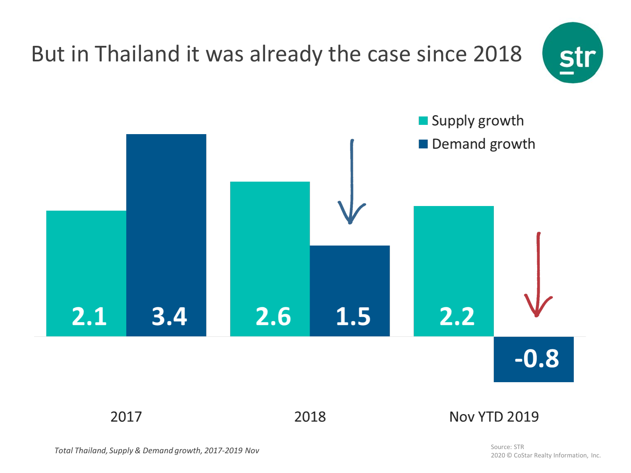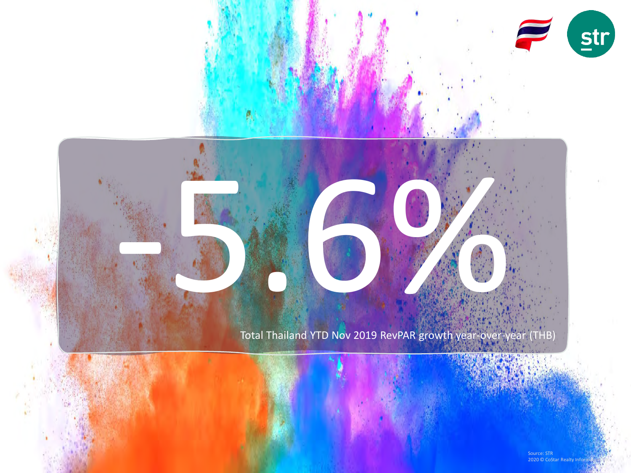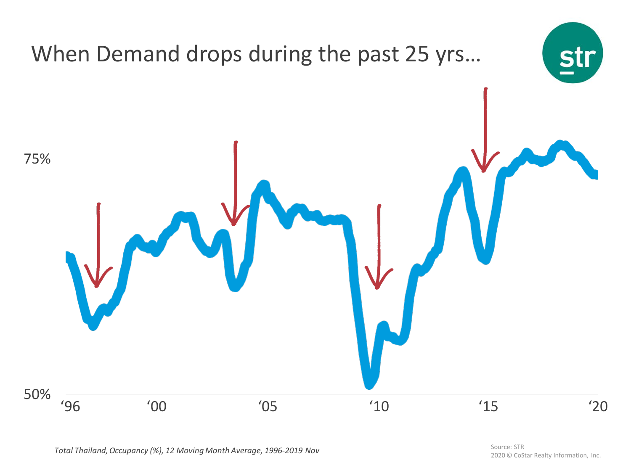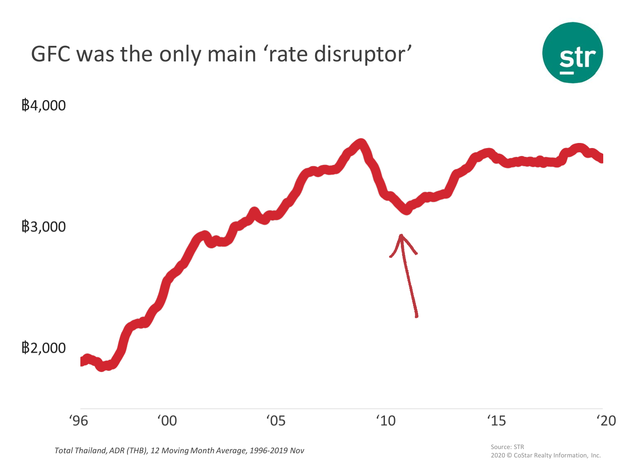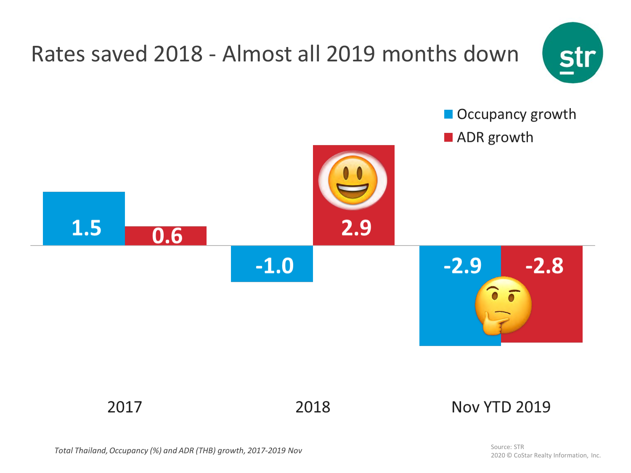

*Total Thailand, Occupancy (%) and ADR (THB) growth, 2017-2019 Nov*

Source: STR 2020 © CoStar Realty Information, Inc.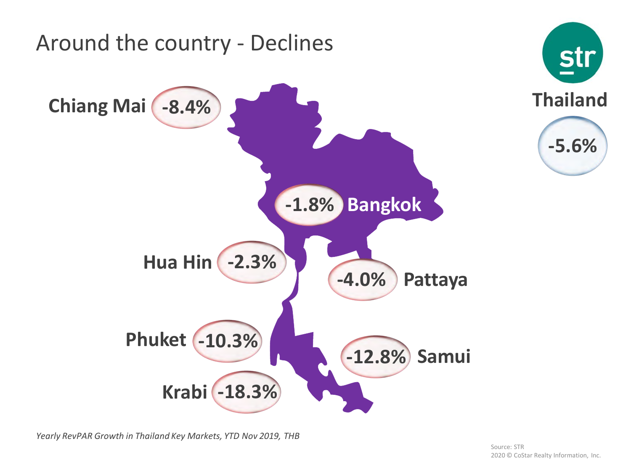

*Yearly RevPAR Growth in Thailand Key Markets, YTD Nov 2019, THB*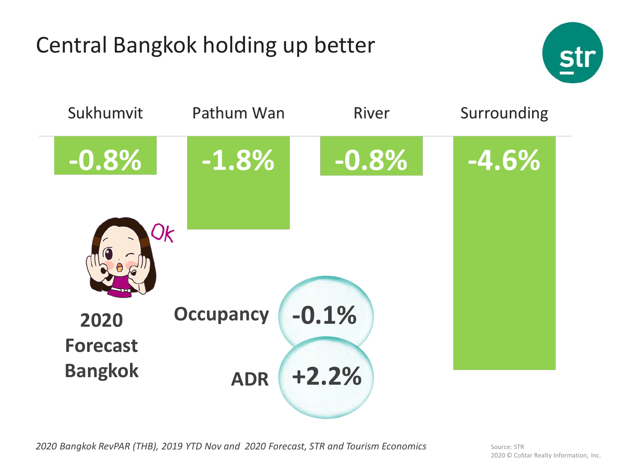# Central Bangkok holding up better





*2020 Bangkok RevPAR (THB), 2019 YTD Nov and 2020 Forecast, STR and Tourism Economics*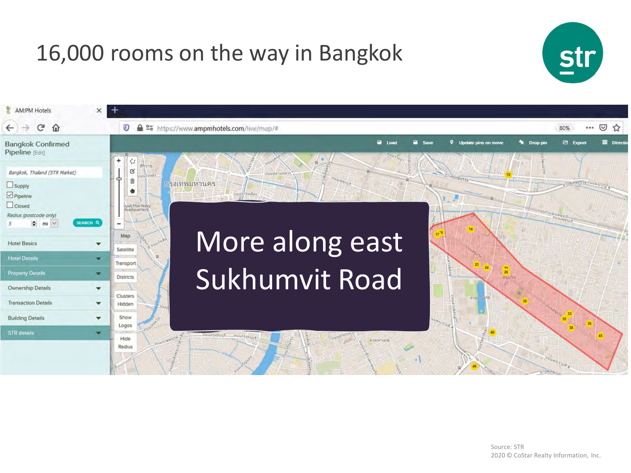### 16,000 rooms on the way in Bangkok



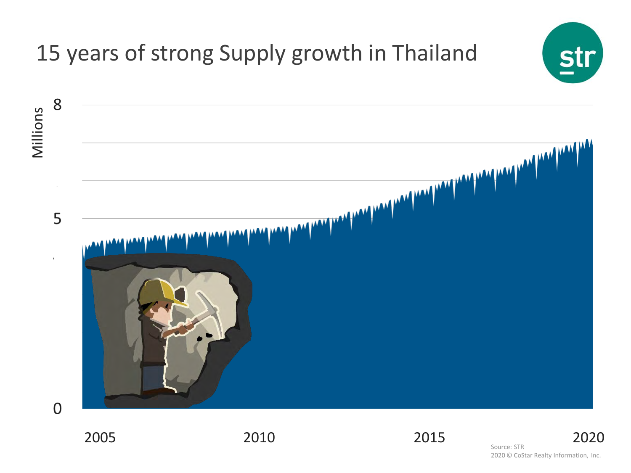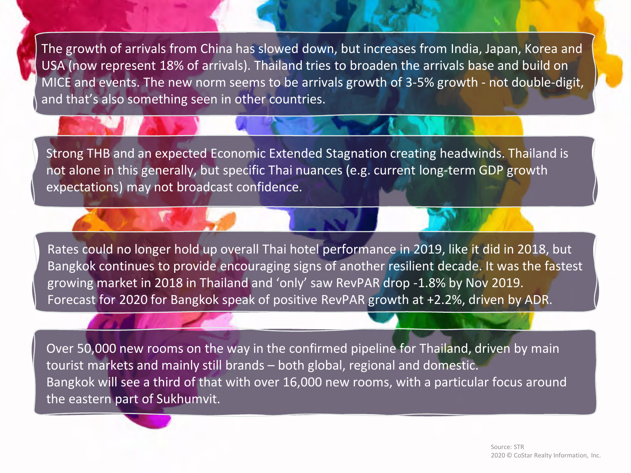The growth of arrivals from China has slowed down, but increases from India, Japan, Korea and USA (now represent 18% of arrivals). Thailand tries to broaden the arrivals base and build on MICE and events. The new norm seems to be arrivals growth of 3-5% growth - not double-digit, and that's also something seen in other countries.

Strong THB and an expected Economic Extended Stagnation creating headwinds. Thailand is not alone in this generally, but specific Thai nuances (e.g. current long-term GDP growth expectations) may not broadcast confidence.

Rates could no longer hold up overall Thai hotel performance in 2019, like it did in 2018, but Bangkok continues to provide encouraging signs of another resilient decade. It was the fastest growing market in 2018 in Thailand and 'only' saw RevPAR drop -1.8% by Nov 2019. Forecast for 2020 for Bangkok speak of positive RevPAR growth at +2.2%, driven by ADR.

Over 50,000 new rooms on the way in the confirmed pipeline for Thailand, driven by main tourist markets and mainly still brands – both global, regional and domestic. Bangkok will see a third of that with over 16,000 new rooms, with a particular focus around the eastern part of Sukhumvit.